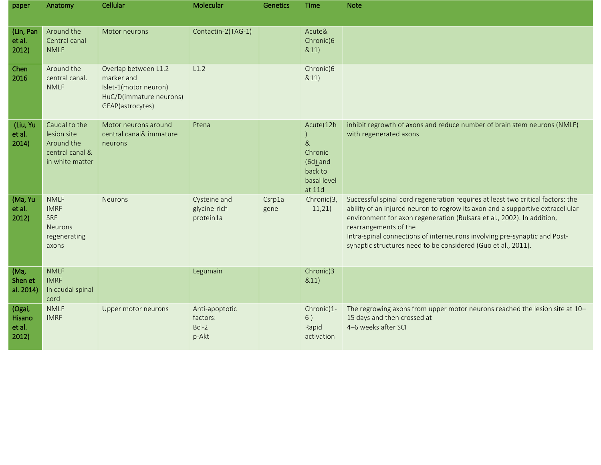| paper                               | Anatomy                                                                             | Cellular                                                                                                   | Molecular                                    | Genetics       | <b>Time</b>                                                                              | <b>Note</b>                                                                                                                                                                                                                                                                                                                                                                                                        |
|-------------------------------------|-------------------------------------------------------------------------------------|------------------------------------------------------------------------------------------------------------|----------------------------------------------|----------------|------------------------------------------------------------------------------------------|--------------------------------------------------------------------------------------------------------------------------------------------------------------------------------------------------------------------------------------------------------------------------------------------------------------------------------------------------------------------------------------------------------------------|
| (Lin, Pan<br>et al.<br>2012)        | Around the<br>Central canal<br><b>NMLF</b>                                          | Motor neurons                                                                                              | Contactin-2(TAG-1)                           |                | Acute&<br>Chronic(6<br>&11)                                                              |                                                                                                                                                                                                                                                                                                                                                                                                                    |
| Chen<br>2016                        | Around the<br>central canal.<br><b>NMLF</b>                                         | Overlap between L1.2<br>marker and<br>Islet-1(motor neuron)<br>HuC/D(immature neurons)<br>GFAP(astrocytes) | L1.2                                         |                | Chronic(6<br>&11)                                                                        |                                                                                                                                                                                                                                                                                                                                                                                                                    |
| (Liu, Yu<br>et al.<br>2014)         | Caudal to the<br>lesion site<br>Around the<br>central canal &<br>in white matter    | Motor neurons around<br>central canal& immature<br>neurons                                                 | Ptena                                        |                | Acute(12h<br>8 <sub>k</sub><br>Chronic<br>$(6d)$ and<br>back to<br>basal level<br>at 11d | inhibit regrowth of axons and reduce number of brain stem neurons (NMLF)<br>with regenerated axons                                                                                                                                                                                                                                                                                                                 |
| (Ma, Yu<br>et al.<br>2012)          | <b>NMLF</b><br><b>IMRF</b><br><b>SRF</b><br><b>Neurons</b><br>regenerating<br>axons | <b>Neurons</b>                                                                                             | Cysteine and<br>glycine-rich<br>protein1a    | Csrp1a<br>gene | Chronic(3,<br>11,21)                                                                     | Successful spinal cord regeneration requires at least two critical factors: the<br>ability of an injured neuron to regrow its axon and a supportive extracellular<br>environment for axon regeneration (Bulsara et al., 2002). In addition,<br>rearrangements of the<br>Intra-spinal connections of interneurons involving pre-synaptic and Post-<br>synaptic structures need to be considered (Guo et al., 2011). |
| (Ma,<br>Shen et<br>al. 2014)        | <b>NMLF</b><br><b>IMRF</b><br>In caudal spinal<br>cord                              |                                                                                                            | Legumain                                     |                | Chronic(3<br>&11)                                                                        |                                                                                                                                                                                                                                                                                                                                                                                                                    |
| (Ogai,<br>Hisano<br>et al.<br>2012) | <b>NMLF</b><br><b>IMRF</b>                                                          | Upper motor neurons                                                                                        | Anti-apoptotic<br>factors:<br>Bcl-2<br>p-Akt |                | Chronic(1-<br>6)<br>Rapid<br>activation                                                  | The regrowing axons from upper motor neurons reached the lesion site at 10-<br>15 days and then crossed at<br>4-6 weeks after SCI                                                                                                                                                                                                                                                                                  |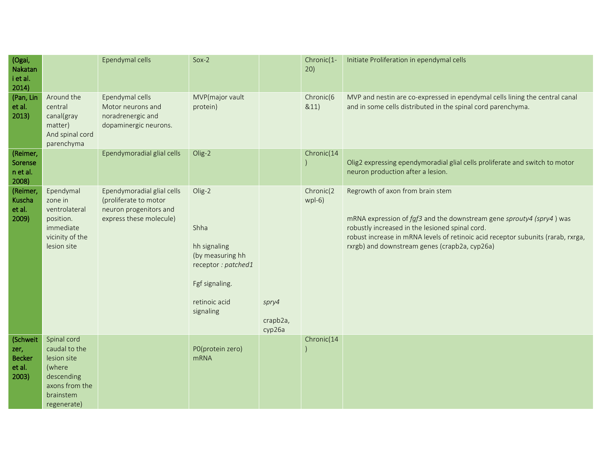| (Ogai,<br>Nakatan<br>i et al.<br>2014)               |                                                                                                                   | Ependymal cells                                                                                          | $Sox-2$                                                                                                                  |                             | Chronic(1-<br>20)     | Initiate Proliferation in ependymal cells                                                                                                                                                                                                                                                        |
|------------------------------------------------------|-------------------------------------------------------------------------------------------------------------------|----------------------------------------------------------------------------------------------------------|--------------------------------------------------------------------------------------------------------------------------|-----------------------------|-----------------------|--------------------------------------------------------------------------------------------------------------------------------------------------------------------------------------------------------------------------------------------------------------------------------------------------|
| (Pan, Lin<br>et al.<br>2013)                         | Around the<br>central<br>canal(gray<br>matter)<br>And spinal cord<br>parenchyma                                   | Ependymal cells<br>Motor neurons and<br>noradrenergic and<br>dopaminergic neurons.                       | MVP(major vault<br>protein)                                                                                              |                             | Chronic(6<br>&11)     | MVP and nestin are co-expressed in ependymal cells lining the central canal<br>and in some cells distributed in the spinal cord parenchyma.                                                                                                                                                      |
| (Reimer,<br>Sorense<br>n et al.<br>2008)             |                                                                                                                   | Ependymoradial glial cells                                                                               | Olig-2                                                                                                                   |                             | Chronic(14            | Olig2 expressing ependymoradial glial cells proliferate and switch to motor<br>neuron production after a lesion.                                                                                                                                                                                 |
| (Reimer,<br>Kuscha<br>et al.<br>2009)                | Ependymal<br>zone in<br>ventrolateral<br>position.<br>immediate<br>vicinity of the<br>lesion site                 | Ependymoradial glial cells<br>(proliferate to motor<br>neuron progenitors and<br>express these molecule) | Olig-2<br>Shha<br>hh signaling<br>(by measuring hh<br>receptor: patched1<br>Fgf signaling.<br>retinoic acid<br>signaling | spry4<br>crapb2a,<br>cyp26a | Chronic(2<br>$wpI-6)$ | Regrowth of axon from brain stem<br>mRNA expression of fgf3 and the downstream gene sprouty4 (spry4) was<br>robustly increased in the lesioned spinal cord.<br>robust increase in mRNA levels of retinoic acid receptor subunits (rarab, rxrga,<br>rxrgb) and downstream genes (crapb2a, cyp26a) |
| (Schweit<br>zer,<br><b>Becker</b><br>et al.<br>2003) | Spinal cord<br>caudal to the<br>lesion site<br>(where<br>descending<br>axons from the<br>brainstem<br>regenerate) |                                                                                                          | P0(protein zero)<br><b>mRNA</b>                                                                                          |                             | Chronic(14            |                                                                                                                                                                                                                                                                                                  |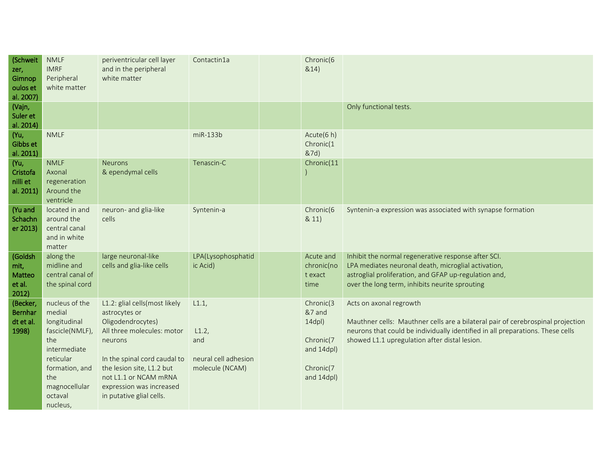| (Schweit<br>zer,<br>Gimnop<br>oulos et<br>al. 2007) | <b>NMLF</b><br><b>IMRF</b><br>Peripheral<br>white matter                                                                                                         | periventricular cell layer<br>and in the peripheral<br>white matter                                                                                                                                                                                        | Contactin1a                                                    | Chronic(6<br>&14)                                                                         |                                                                                                                                                                                                                                               |
|-----------------------------------------------------|------------------------------------------------------------------------------------------------------------------------------------------------------------------|------------------------------------------------------------------------------------------------------------------------------------------------------------------------------------------------------------------------------------------------------------|----------------------------------------------------------------|-------------------------------------------------------------------------------------------|-----------------------------------------------------------------------------------------------------------------------------------------------------------------------------------------------------------------------------------------------|
| (Vajn,<br>Suler et<br>al. 2014)                     |                                                                                                                                                                  |                                                                                                                                                                                                                                                            |                                                                |                                                                                           | Only functional tests.                                                                                                                                                                                                                        |
| (Yu,<br>Gibbs et<br>al. 2011)                       | <b>NMLF</b>                                                                                                                                                      |                                                                                                                                                                                                                                                            | $miR-133b$                                                     | Acute(6 h)<br>Chronic(1<br>&7d)                                                           |                                                                                                                                                                                                                                               |
| (Yu,<br>Cristofa<br>nilli et<br>al. 2011)           | <b>NMLF</b><br>Axonal<br>regeneration<br>Around the<br>ventricle                                                                                                 | <b>Neurons</b><br>& ependymal cells                                                                                                                                                                                                                        | Tenascin-C                                                     | Chronic(11                                                                                |                                                                                                                                                                                                                                               |
| (Yu and<br>Schachn<br>er 2013)                      | located in and<br>around the<br>central canal<br>and in white<br>matter                                                                                          | neuron- and glia-like<br>cells                                                                                                                                                                                                                             | Syntenin-a                                                     | Chronic(6<br>& 11)                                                                        | Syntenin-a expression was associated with synapse formation                                                                                                                                                                                   |
| (Goldsh<br>mit,<br>Matteo<br>et al.<br>2012)        | along the<br>midline and<br>central canal of<br>the spinal cord                                                                                                  | large neuronal-like<br>cells and glia-like cells                                                                                                                                                                                                           | LPA(Lysophosphatid<br>ic Acid)                                 | Acute and<br>chronic(no<br>t exact<br>time                                                | Inhibit the normal regenerative response after SCI.<br>LPA mediates neuronal death, microglial activation,<br>astroglial proliferation, and GFAP up-regulation and,<br>over the long term, inhibits neurite sprouting                         |
| (Becker,<br>Bernhar<br>dt et al.<br>1998)           | nucleus of the<br>medial<br>longitudinal<br>fascicle(NMLF),<br>the<br>intermediate<br>reticular<br>formation, and<br>the<br>magnocellular<br>octaval<br>nucleus, | L1.2: glial cells(most likely<br>astrocytes or<br>Oligodendrocytes)<br>All three molecules: motor<br>neurons<br>In the spinal cord caudal to<br>the lesion site, L1.2 but<br>not L1.1 or NCAM mRNA<br>expression was increased<br>in putative glial cells. | L1.1<br>L1.2<br>and<br>neural cell adhesion<br>molecule (NCAM) | Chronic(3<br>&7 and<br>$14$ dpl $)$<br>Chronic(7<br>and 14dpl)<br>Chronic(7<br>and 14dpl) | Acts on axonal regrowth<br>Mauthner cells: Mauthner cells are a bilateral pair of cerebrospinal projection<br>neurons that could be individually identified in all preparations. These cells<br>showed L1.1 upregulation after distal lesion. |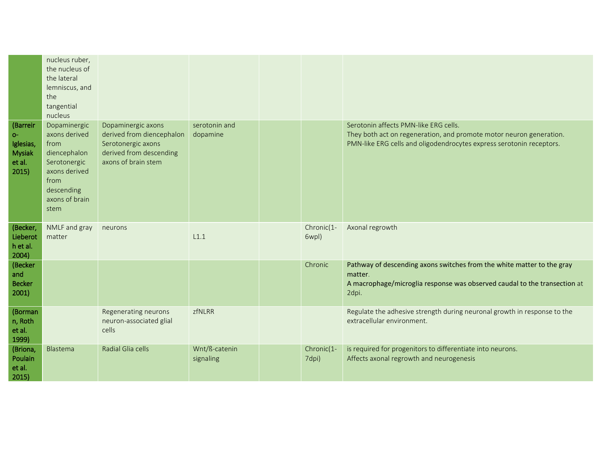| nucleus ruber,<br>the nucleus of<br>the lateral<br>lemniscus, and<br>the                                                                                                                                                                                                                                                                                                                                                                                                                                                                                     |  |
|--------------------------------------------------------------------------------------------------------------------------------------------------------------------------------------------------------------------------------------------------------------------------------------------------------------------------------------------------------------------------------------------------------------------------------------------------------------------------------------------------------------------------------------------------------------|--|
| tangential<br>nucleus                                                                                                                                                                                                                                                                                                                                                                                                                                                                                                                                        |  |
| Serotonin affects PMN-like ERG cells.<br>(Barreir<br>Dopaminergic<br>Dopaminergic axons<br>serotonin and<br>derived from diencephalon<br>axons derived<br>They both act on regeneration, and promote motor neuron generation.<br>dopamine<br>$O -$<br>Serotonergic axons<br>PMN-like ERG cells and oligodendrocytes express serotonin receptors.<br>from<br>Iglesias,<br>derived from descending<br><b>Mysiak</b><br>diencephalon<br>axons of brain stem<br>et al.<br>Serotonergic<br>2015)<br>axons derived<br>from<br>descending<br>axons of brain<br>stem |  |
| NMLF and gray<br>Chronic(1-<br>Axonal regrowth<br>(Becker,<br>neurons<br>Lieberot<br>L1.1<br>matter<br>6wpl)<br>h et al.<br>2004)                                                                                                                                                                                                                                                                                                                                                                                                                            |  |
| (Becker<br>Chronic<br>Pathway of descending axons switches from the white matter to the gray                                                                                                                                                                                                                                                                                                                                                                                                                                                                 |  |
| and<br>matter.                                                                                                                                                                                                                                                                                                                                                                                                                                                                                                                                               |  |
| <b>Becker</b><br>A macrophage/microglia response was observed caudal to the transection at<br>2001<br>2dpi.                                                                                                                                                                                                                                                                                                                                                                                                                                                  |  |
| Regenerating neurons<br>zfNLRR<br>Regulate the adhesive strength during neuronal growth in response to the<br>(Borman<br>extracellular environment.<br>neuron-associated glial<br>n, Roth<br>et al.<br>cells<br>1999)                                                                                                                                                                                                                                                                                                                                        |  |
| Chronic(1-<br>is required for progenitors to differentiate into neurons.<br>(Briona,<br>Blastema<br>Radial Glia cells<br>Wnt/ß-catenin<br>Affects axonal regrowth and neurogenesis<br>Poulain<br>7dpi)<br>signaling<br>et al.<br>2015)                                                                                                                                                                                                                                                                                                                       |  |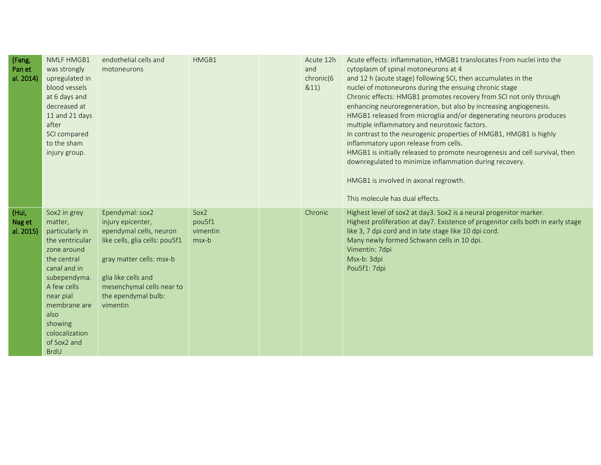| (Fang,<br>Pan et<br>al. 2014) | <b>NMLF HMGB1</b><br>was strongly<br>upregulated in<br>blood vessels<br>at 6 days and<br>decreased at<br>11 and 21 days<br>after<br>SCI compared<br>to the sham<br>injury group.                                                           | endothelial cells and<br>motoneurons                                                                                                                                                                                 | HMGB1                               | Acute 12h<br>and<br>chronic(6<br>&11) | Acute effects: inflammation, HMGB1 translocates From nuclei into the<br>cytoplasm of spinal motoneurons at 4<br>and 12 h (acute stage) following SCI, then accumulates in the<br>nuclei of motoneurons during the ensuing chronic stage<br>Chronic effects: HMGB1 promotes recovery from SCI not only through<br>enhancing neuroregeneration, but also by increasing angiogenesis.<br>HMGB1 released from microglia and/or degenerating neurons produces<br>multiple inflammatory and neurotoxic factors.<br>In contrast to the neurogenic properties of HMGB1, HMGB1 is highly<br>inflammatory upon release from cells.<br>HMGB1 is initially released to promote neurogenesis and cell survival, then<br>downregulated to minimize inflammation during recovery.<br>HMGB1 is involved in axonal regrowth.<br>This molecule has dual effects. |
|-------------------------------|--------------------------------------------------------------------------------------------------------------------------------------------------------------------------------------------------------------------------------------------|----------------------------------------------------------------------------------------------------------------------------------------------------------------------------------------------------------------------|-------------------------------------|---------------------------------------|------------------------------------------------------------------------------------------------------------------------------------------------------------------------------------------------------------------------------------------------------------------------------------------------------------------------------------------------------------------------------------------------------------------------------------------------------------------------------------------------------------------------------------------------------------------------------------------------------------------------------------------------------------------------------------------------------------------------------------------------------------------------------------------------------------------------------------------------|
| (Hui,<br>Nag et<br>al. 2015)  | Sox2 in grey<br>matter,<br>particularly in<br>the ventricular<br>zone around<br>the central<br>canal and in<br>subependyma.<br>A few cells<br>near pial<br>membrane are<br>also<br>showing<br>colocalization<br>of Sox2 and<br><b>BrdU</b> | Ependymal: sox2<br>injury epicenter,<br>ependymal cells, neuron<br>like cells, glia cells: pou5f1<br>gray matter cells: msx-b<br>glia like cells and<br>mesenchymal cells near to<br>the ependymal bulb:<br>vimentin | Sox2<br>pou5f1<br>vimentin<br>msx-b | Chronic                               | Highest level of sox2 at day3. Sox2 is a neural progenitor marker.<br>Highest proliferation at day7. Existence of progenitor cells both in early stage<br>like 3, 7 dpi cord and in late stage like 10 dpi cord.<br>Many newly formed Schwann cells in 10 dpi.<br>Vimentin: 7dpi<br>Msx-b: 3dpi<br>Pou5f1: 7dpi                                                                                                                                                                                                                                                                                                                                                                                                                                                                                                                                |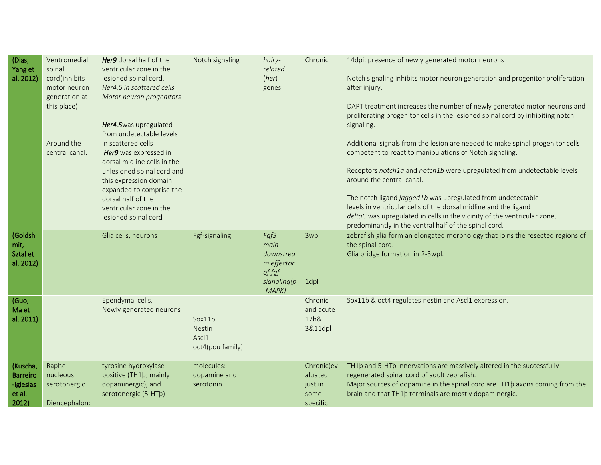| (Dias,<br>Yang et<br>al. 2012)                              | Ventromedial<br>spinal<br>cord(inhibits<br>motor neuron<br>generation at<br>this place)<br>Around the<br>central canal. | Her9 dorsal half of the<br>ventricular zone in the<br>lesioned spinal cord.<br>Her4.5 in scattered cells.<br>Motor neuron progenitors<br>Her4.5was upregulated<br>from undetectable levels<br>in scattered cells<br>Her9 was expressed in<br>dorsal midline cells in the<br>unlesioned spinal cord and<br>this expression domain<br>expanded to comprise the<br>dorsal half of the<br>ventricular zone in the<br>lesioned spinal cord | Notch signaling                                      | hairy-<br>related<br>(her)<br>genes                                           | Chronic                                              | 14dpi: presence of newly generated motor neurons<br>Notch signaling inhibits motor neuron generation and progenitor proliferation<br>after injury.<br>DAPT treatment increases the number of newly generated motor neurons and<br>proliferating progenitor cells in the lesioned spinal cord by inhibiting notch<br>signaling.<br>Additional signals from the lesion are needed to make spinal progenitor cells<br>competent to react to manipulations of Notch signaling.<br>Receptors notch1a and notch1b were upregulated from undetectable levels<br>around the central canal.<br>The notch ligand jagged1b was upregulated from undetectable<br>levels in ventricular cells of the dorsal midline and the ligand<br>deltaC was upregulated in cells in the vicinity of the ventricular zone,<br>predominantly in the ventral half of the spinal cord. |
|-------------------------------------------------------------|-------------------------------------------------------------------------------------------------------------------------|---------------------------------------------------------------------------------------------------------------------------------------------------------------------------------------------------------------------------------------------------------------------------------------------------------------------------------------------------------------------------------------------------------------------------------------|------------------------------------------------------|-------------------------------------------------------------------------------|------------------------------------------------------|------------------------------------------------------------------------------------------------------------------------------------------------------------------------------------------------------------------------------------------------------------------------------------------------------------------------------------------------------------------------------------------------------------------------------------------------------------------------------------------------------------------------------------------------------------------------------------------------------------------------------------------------------------------------------------------------------------------------------------------------------------------------------------------------------------------------------------------------------------|
| (Goldsh<br>mit,<br>Sztal et<br>al. 2012)                    |                                                                                                                         | Glia cells, neurons                                                                                                                                                                                                                                                                                                                                                                                                                   | Fgf-signaling                                        | Fgf3<br>main<br>downstrea<br>m effector<br>of fgf<br>signaling(p<br>$-MAPK$ ) | 3wpl<br>1dpl                                         | zebrafish glia form an elongated morphology that joins the resected regions of<br>the spinal cord.<br>Glia bridge formation in 2-3wpl.                                                                                                                                                                                                                                                                                                                                                                                                                                                                                                                                                                                                                                                                                                                     |
| (Guo,<br>Ma et<br>al. 2011)                                 |                                                                                                                         | Ependymal cells,<br>Newly generated neurons                                                                                                                                                                                                                                                                                                                                                                                           | Sox11b<br><b>Nestin</b><br>Ascl1<br>oct4(pou family) |                                                                               | Chronic<br>and acute<br>12h&<br>3&11dpl              | Sox11b & oct4 regulates nestin and Ascl1 expression.                                                                                                                                                                                                                                                                                                                                                                                                                                                                                                                                                                                                                                                                                                                                                                                                       |
| (Kuscha,<br><b>Barreiro</b><br>-Iglesias<br>et al.<br>2012) | Raphe<br>nucleous:<br>serotonergic<br>Diencephalon:                                                                     | tyrosine hydroxylase-<br>positive (TH1b; mainly<br>dopaminergic), and<br>serotonergic (5-HTb)                                                                                                                                                                                                                                                                                                                                         | molecules:<br>dopamine and<br>serotonin              |                                                                               | Chronic(ev<br>aluated<br>just in<br>some<br>specific | TH1b and 5-HTb innervations are massively altered in the successfully<br>regenerated spinal cord of adult zebrafish.<br>Major sources of dopamine in the spinal cord are TH1b axons coming from the<br>brain and that TH1b terminals are mostly dopaminergic.                                                                                                                                                                                                                                                                                                                                                                                                                                                                                                                                                                                              |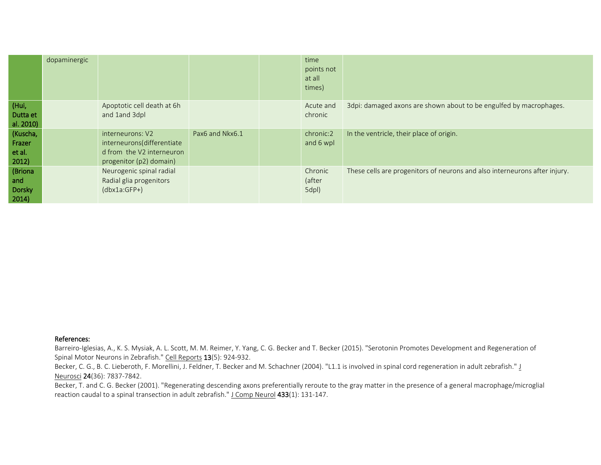|                                       | dopaminergic |                                                                                                        |                 | time<br>points not<br>at all<br>times) |                                                                            |
|---------------------------------------|--------------|--------------------------------------------------------------------------------------------------------|-----------------|----------------------------------------|----------------------------------------------------------------------------|
| (Hui,<br>Dutta et<br>al. 2010)        |              | Apoptotic cell death at 6h<br>and 1and 3dpl                                                            |                 | Acute and<br>chronic                   | 3dpi: damaged axons are shown about to be engulfed by macrophages.         |
| (Kuscha,<br>Frazer<br>et al.<br>2012) |              | interneurons: V2<br>interneurons(differentiate<br>d from the V2 interneuron<br>progenitor (p2) domain) | Pax6 and Nkx6.1 | chronic:2<br>and 6 wpl                 | In the ventricle, their place of origin.                                   |
| (Briona<br>and<br>Dorsky<br>2014)     |              | Neurogenic spinal radial<br>Radial glia progenitors<br>$(dbx1a:GFP+)$                                  |                 | Chronic<br>(after<br>5dpl)             | These cells are progenitors of neurons and also interneurons after injury. |

## References:

Barreiro-Iglesias, A., K. S. Mysiak, A. L. Scott, M. M. Reimer, Y. Yang, C. G. Becker and T. Becker (2015). "Serotonin Promotes Development and Regeneration of Spinal Motor Neurons in Zebrafish." Cell Reports 13(5): 924-932.

Becker, C. G., B. C. Lieberoth, F. Morellini, J. Feldner, T. Becker and M. Schachner (2004). "L1.1 is involved in spinal cord regeneration in adult zebrafish." J Neurosci 24(36): 7837-7842.

Becker, T. and C. G. Becker (2001). "Regenerating descending axons preferentially reroute to the gray matter in the presence of a general macrophage/microglial reaction caudal to a spinal transection in adult zebrafish." J Comp Neurol 433(1): 131-147.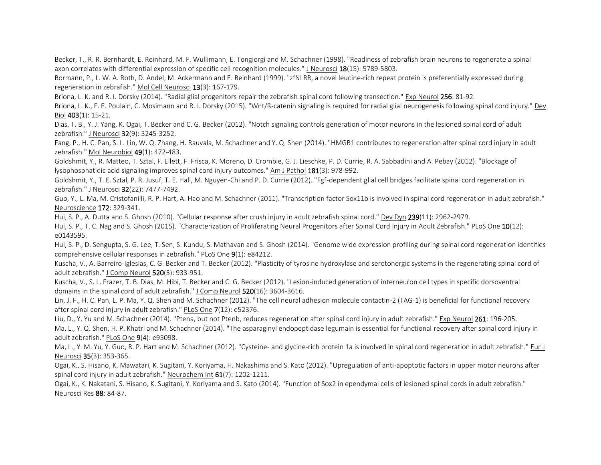Becker, T., R. R. Bernhardt, E. Reinhard, M. F. Wullimann, E. Tongiorgi and M. Schachner (1998). "Readiness of zebrafish brain neurons to regenerate a spinal axon correlates with differential expression of specific cell recognition molecules." J Neurosci 18(15): 5789-5803.

Bormann, P., L. W. A. Roth, D. Andel, M. Ackermann and E. Reinhard (1999). "zfNLRR, a novel leucine-rich repeat protein is preferentially expressed during regeneration in zebrafish." Mol Cell Neurosci 13(3): 167-179.

Briona, L. K. and R. I. Dorsky (2014). "Radial glial progenitors repair the zebrafish spinal cord following transection." Exp Neurol 256: 81-92.

Briona, L. K., F. E. Poulain, C. Mosimann and R. I. Dorsky (2015). "Wnt/ß-catenin signaling is required for radial glial neurogenesis following spinal cord injury." Dev Biol 403(1): 15-21.

Dias, T. B., Y. J. Yang, K. Ogai, T. Becker and C. G. Becker (2012). "Notch signaling controls generation of motor neurons in the lesioned spinal cord of adult zebrafish." J Neurosci 32(9): 3245-3252.

Fang, P., H. C. Pan, S. L. Lin, W. Q. Zhang, H. Rauvala, M. Schachner and Y. Q. Shen (2014). "HMGB1 contributes to regeneration after spinal cord injury in adult zebrafish." Mol Neurobiol 49(1): 472-483.

Goldshmit, Y., R. Matteo, T. Sztal, F. Ellett, F. Frisca, K. Moreno, D. Crombie, G. J. Lieschke, P. D. Currie, R. A. Sabbadini and A. Pebay (2012). "Blockage of lysophosphatidic acid signaling improves spinal cord injury outcomes." Am J Pathol 181(3): 978-992.

Goldshmit, Y., T. E. Sztal, P. R. Jusuf, T. E. Hall, M. Nguyen-Chi and P. D. Currie (2012). "Fgf-dependent glial cell bridges facilitate spinal cord regeneration in zebrafish." J Neurosci 32(22): 7477-7492.

Guo, Y., L. Ma, M. Cristofanilli, R. P. Hart, A. Hao and M. Schachner (2011). "Transcription factor Sox11b is involved in spinal cord regeneration in adult zebrafish." Neuroscience 172: 329-341.

Hui, S. P., A. Dutta and S. Ghosh (2010). "Cellular response after crush injury in adult zebrafish spinal cord." Dev Dyn 239(11): 2962-2979.

Hui, S. P., T. C. Nag and S. Ghosh (2015). "Characterization of Proliferating Neural Progenitors after Spinal Cord Injury in Adult Zebrafish." PLoS One 10(12): e0143595.

Hui, S. P., D. Sengupta, S. G. Lee, T. Sen, S. Kundu, S. Mathavan and S. Ghosh (2014). "Genome wide expression profiling during spinal cord regeneration identifies comprehensive cellular responses in zebrafish." PLoS One 9(1): e84212.

Kuscha, V., A. Barreiro-Iglesias, C. G. Becker and T. Becker (2012). "Plasticity of tyrosine hydroxylase and serotonergic systems in the regenerating spinal cord of adult zebrafish." J Comp Neurol 520(5): 933-951.

Kuscha, V., S. L. Frazer, T. B. Dias, M. Hibi, T. Becker and C. G. Becker (2012). "Lesion-induced generation of interneuron cell types in specific dorsoventral domains in the spinal cord of adult zebrafish." J Comp Neurol 520(16): 3604-3616.

Lin, J. F., H. C. Pan, L. P. Ma, Y. Q. Shen and M. Schachner (2012). "The cell neural adhesion molecule contactin-2 (TAG-1) is beneficial for functional recovery after spinal cord injury in adult zebrafish." PLoS One 7(12): e52376.

Liu, D., Y. Yu and M. Schachner (2014). "Ptena, but not Ptenb, reduces regeneration after spinal cord injury in adult zebrafish." Exp Neurol 261: 196-205. Ma, L., Y. Q. Shen, H. P. Khatri and M. Schachner (2014). "The asparaginyl endopeptidase legumain is essential for functional recovery after spinal cord injury in adult zebrafish." PLoS One 9(4): e95098.

Ma, L., Y. M. Yu, Y. Guo, R. P. Hart and M. Schachner (2012). "Cysteine- and glycine-rich protein 1a is involved in spinal cord regeneration in adult zebrafish." Eur J Neurosci 35(3): 353-365.

Ogai, K., S. Hisano, K. Mawatari, K. Sugitani, Y. Koriyama, H. Nakashima and S. Kato (2012). "Upregulation of anti-apoptotic factors in upper motor neurons after spinal cord injury in adult zebrafish." Neurochem Int 61(7): 1202-1211.

Ogai, K., K. Nakatani, S. Hisano, K. Sugitani, Y. Koriyama and S. Kato (2014). "Function of Sox2 in ependymal cells of lesioned spinal cords in adult zebrafish." Neurosci Res 88: 84-87.